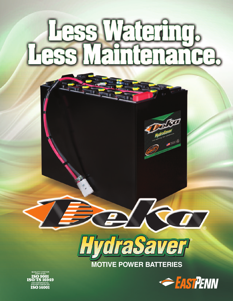# Less Watering.<br>255 Maintenance.



**MOTIVE POWER BATTERIES**



®

**CERTIFIED**<br>**60 9001<br>/TS 16949** SYSTEM CERTIFIED